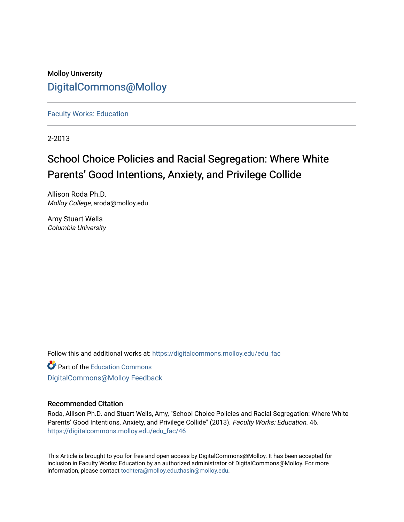Molloy University [DigitalCommons@Molloy](https://digitalcommons.molloy.edu/) 

[Faculty Works: Education](https://digitalcommons.molloy.edu/edu_fac) 

2-2013

# School Choice Policies and Racial Segregation: Where White Parents' Good Intentions, Anxiety, and Privilege Collide

Allison Roda Ph.D. Molloy College, aroda@molloy.edu

Amy Stuart Wells Columbia University

Follow this and additional works at: [https://digitalcommons.molloy.edu/edu\\_fac](https://digitalcommons.molloy.edu/edu_fac?utm_source=digitalcommons.molloy.edu%2Fedu_fac%2F46&utm_medium=PDF&utm_campaign=PDFCoverPages)

**Part of the [Education Commons](https://network.bepress.com/hgg/discipline/784?utm_source=digitalcommons.molloy.edu%2Fedu_fac%2F46&utm_medium=PDF&utm_campaign=PDFCoverPages)** [DigitalCommons@Molloy Feedback](https://molloy.libwizard.com/f/dcfeedback)

# Recommended Citation

Roda, Allison Ph.D. and Stuart Wells, Amy, "School Choice Policies and Racial Segregation: Where White Parents' Good Intentions, Anxiety, and Privilege Collide" (2013). Faculty Works: Education. 46. [https://digitalcommons.molloy.edu/edu\\_fac/46](https://digitalcommons.molloy.edu/edu_fac/46?utm_source=digitalcommons.molloy.edu%2Fedu_fac%2F46&utm_medium=PDF&utm_campaign=PDFCoverPages) 

This Article is brought to you for free and open access by DigitalCommons@Molloy. It has been accepted for inclusion in Faculty Works: Education by an authorized administrator of DigitalCommons@Molloy. For more information, please contact [tochtera@molloy.edu,thasin@molloy.edu.](mailto:tochtera@molloy.edu,thasin@molloy.edu)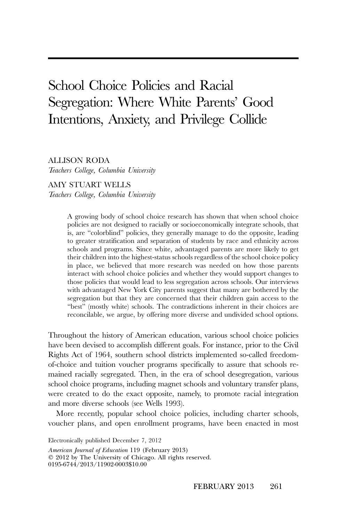# School Choice Policies and Racial Segregation: Where White Parents' Good Intentions, Anxiety, and Privilege Collide

ALLISON RODA

*Teachers College, Columbia University*

AMY STUART WELLS *Teachers College, Columbia University*

> A growing body of school choice research has shown that when school choice policies are not designed to racially or socioeconomically integrate schools, that is, are "colorblind" policies, they generally manage to do the opposite, leading to greater stratification and separation of students by race and ethnicity across schools and programs. Since white, advantaged parents are more likely to get their children into the highest-status schools regardless of the school choice policy in place, we believed that more research was needed on how those parents interact with school choice policies and whether they would support changes to those policies that would lead to less segregation across schools. Our interviews with advantaged New York City parents suggest that many are bothered by the segregation but that they are concerned that their children gain access to the "best" (mostly white) schools. The contradictions inherent in their choices are reconcilable, we argue, by offering more diverse and undivided school options.

Throughout the history of American education, various school choice policies have been devised to accomplish different goals. For instance, prior to the Civil Rights Act of 1964, southern school districts implemented so-called freedomof-choice and tuition voucher programs specifically to assure that schools remained racially segregated. Then, in the era of school desegregation, various school choice programs, including magnet schools and voluntary transfer plans, were created to do the exact opposite, namely, to promote racial integration and more diverse schools (see Wells 1993).

More recently, popular school choice policies, including charter schools, voucher plans, and open enrollment programs, have been enacted in most

*American Journal of Education* 119 (February 2013) - 2012 by The University of Chicago. All rights reserved. 0195-6744/2013/11902-0003\$10.00 Electronically published December 7, 2012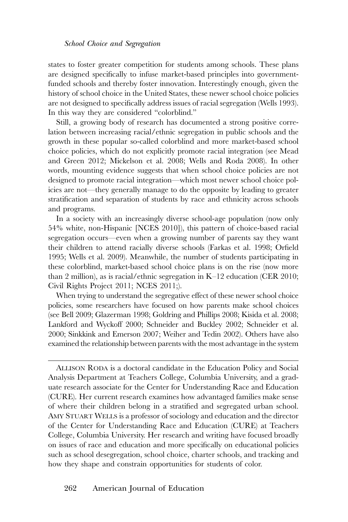states to foster greater competition for students among schools. These plans are designed specifically to infuse market-based principles into governmentfunded schools and thereby foster innovation. Interestingly enough, given the history of school choice in the United States, these newer school choice policies are not designed to specifically address issues of racial segregation (Wells 1993). In this way they are considered "colorblind."

Still, a growing body of research has documented a strong positive correlation between increasing racial/ethnic segregation in public schools and the growth in these popular so-called colorblind and more market-based school choice policies, which do not explicitly promote racial integration (see Mead and Green 2012; Mickelson et al. 2008; Wells and Roda 2008). In other words, mounting evidence suggests that when school choice policies are not designed to promote racial integration—which most newer school choice policies are not—they generally manage to do the opposite by leading to greater stratification and separation of students by race and ethnicity across schools and programs.

In a society with an increasingly diverse school-age population (now only 54% white, non-Hispanic [NCES 2010]), this pattern of choice-based racial segregation occurs—even when a growing number of parents say they want their children to attend racially diverse schools (Farkas et al. 1998; Orfield 1995; Wells et al. 2009). Meanwhile, the number of students participating in these colorblind, market-based school choice plans is on the rise (now more than 2 million), as is racial/ethnic segregation in K–12 education (CER 2010; Civil Rights Project 2011; NCES 2011;).

When trying to understand the segregative effect of these newer school choice policies, some researchers have focused on how parents make school choices (see Bell 2009; Glazerman 1998; Goldring and Phillips 2008; Kisida et al. 2008; Lankford and Wyckoff 2000; Schneider and Buckley 2002; Schneider et al. 2000; Sinkkink and Emerson 2007; Weiher and Tedin 2002). Others have also examined the relationship between parents with the most advantage in the system

ALLISON RODA is a doctoral candidate in the Education Policy and Social Analysis Department at Teachers College, Columbia University, and a graduate research associate for the Center for Understanding Race and Education (CURE). Her current research examines how advantaged families make sense of where their children belong in a stratified and segregated urban school. AMY STUART WELLS is a professor of sociology and education and the director of the Center for Understanding Race and Education (CURE) at Teachers College, Columbia University. Her research and writing have focused broadly on issues of race and education and more specifically on educational policies such as school desegregation, school choice, charter schools, and tracking and how they shape and constrain opportunities for students of color.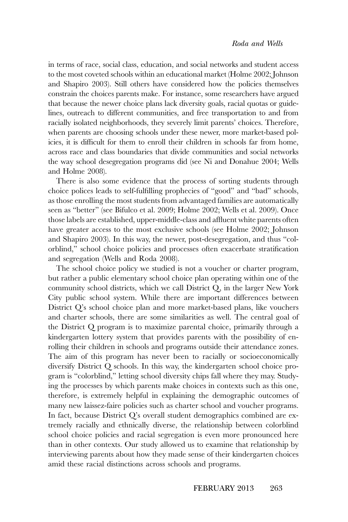in terms of race, social class, education, and social networks and student access to the most coveted schools within an educational market (Holme 2002; Johnson and Shapiro 2003). Still others have considered how the policies themselves constrain the choices parents make. For instance, some researchers have argued that because the newer choice plans lack diversity goals, racial quotas or guidelines, outreach to different communities, and free transportation to and from racially isolated neighborhoods, they severely limit parents' choices. Therefore, when parents are choosing schools under these newer, more market-based policies, it is difficult for them to enroll their children in schools far from home, across race and class boundaries that divide communities and social networks the way school desegregation programs did (see Ni and Donahue 2004; Wells and Holme 2008).

There is also some evidence that the process of sorting students through choice polices leads to self-fulfilling prophecies of "good" and "bad" schools, as those enrolling the most students from advantaged families are automatically seen as "better" (see Bifulco et al. 2009; Holme 2002; Wells et al. 2009). Once those labels are established, upper-middle-class and affluent white parents often have greater access to the most exclusive schools (see Holme 2002; Johnson and Shapiro 2003). In this way, the newer, post-desegregation, and thus "colorblind," school choice policies and processes often exacerbate stratification and segregation (Wells and Roda 2008).

The school choice policy we studied is not a voucher or charter program, but rather a public elementary school choice plan operating within one of the community school districts, which we call District Q, in the larger New York City public school system. While there are important differences between District Q's school choice plan and more market-based plans, like vouchers and charter schools, there are some similarities as well. The central goal of the District Q program is to maximize parental choice, primarily through a kindergarten lottery system that provides parents with the possibility of enrolling their children in schools and programs outside their attendance zones. The aim of this program has never been to racially or socioeconomically diversify District Q schools. In this way, the kindergarten school choice program is "colorblind," letting school diversity chips fall where they may. Studying the processes by which parents make choices in contexts such as this one, therefore, is extremely helpful in explaining the demographic outcomes of many new laissez-faire policies such as charter school and voucher programs. In fact, because District Q's overall student demographics combined are extremely racially and ethnically diverse, the relationship between colorblind school choice policies and racial segregation is even more pronounced here than in other contexts. Our study allowed us to examine that relationship by interviewing parents about how they made sense of their kindergarten choices amid these racial distinctions across schools and programs.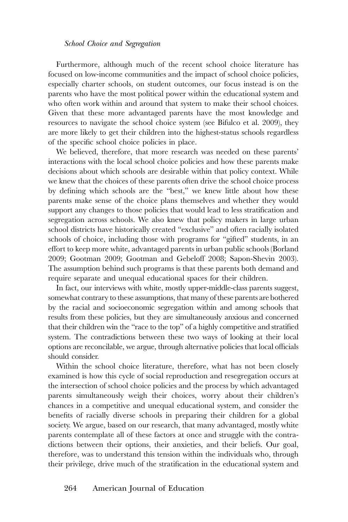Furthermore, although much of the recent school choice literature has focused on low-income communities and the impact of school choice policies, especially charter schools, on student outcomes, our focus instead is on the parents who have the most political power within the educational system and who often work within and around that system to make their school choices. Given that these more advantaged parents have the most knowledge and resources to navigate the school choice system (see Bifulco et al. 2009), they are more likely to get their children into the highest-status schools regardless of the specific school choice policies in place.

We believed, therefore, that more research was needed on these parents' interactions with the local school choice policies and how these parents make decisions about which schools are desirable within that policy context. While we knew that the choices of these parents often drive the school choice process by defining which schools are the "best," we knew little about how these parents make sense of the choice plans themselves and whether they would support any changes to those policies that would lead to less stratification and segregation across schools. We also knew that policy makers in large urban school districts have historically created "exclusive" and often racially isolated schools of choice, including those with programs for "gifted" students, in an effort to keep more white, advantaged parents in urban public schools (Borland 2009; Gootman 2009; Gootman and Gebeloff 2008; Sapon-Shevin 2003). The assumption behind such programs is that these parents both demand and require separate and unequal educational spaces for their children.

In fact, our interviews with white, mostly upper-middle-class parents suggest, somewhat contrary to these assumptions, that many of these parents are bothered by the racial and socioeconomic segregation within and among schools that results from these policies, but they are simultaneously anxious and concerned that their children win the "race to the top" of a highly competitive and stratified system. The contradictions between these two ways of looking at their local options are reconcilable, we argue, through alternative policies that local officials should consider.

Within the school choice literature, therefore, what has not been closely examined is how this cycle of social reproduction and resegregation occurs at the intersection of school choice policies and the process by which advantaged parents simultaneously weigh their choices, worry about their children's chances in a competitive and unequal educational system, and consider the benefits of racially diverse schools in preparing their children for a global society. We argue, based on our research, that many advantaged, mostly white parents contemplate all of these factors at once and struggle with the contradictions between their options, their anxieties, and their beliefs. Our goal, therefore, was to understand this tension within the individuals who, through their privilege, drive much of the stratification in the educational system and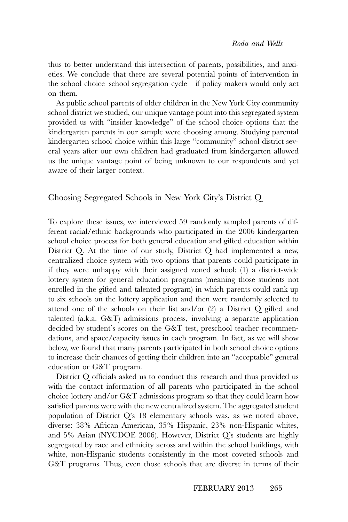thus to better understand this intersection of parents, possibilities, and anxieties. We conclude that there are several potential points of intervention in the school choice–school segregation cycle—if policy makers would only act on them.

As public school parents of older children in the New York City community school district we studied, our unique vantage point into this segregated system provided us with "insider knowledge" of the school choice options that the kindergarten parents in our sample were choosing among. Studying parental kindergarten school choice within this large "community" school district several years after our own children had graduated from kindergarten allowed us the unique vantage point of being unknown to our respondents and yet aware of their larger context.

Choosing Segregated Schools in New York City's District Q

To explore these issues, we interviewed 59 randomly sampled parents of different racial/ethnic backgrounds who participated in the 2006 kindergarten school choice process for both general education and gifted education within District Q. At the time of our study, District Q had implemented a new, centralized choice system with two options that parents could participate in if they were unhappy with their assigned zoned school: (1) a district-wide lottery system for general education programs (meaning those students not enrolled in the gifted and talented program) in which parents could rank up to six schools on the lottery application and then were randomly selected to attend one of the schools on their list and/or (2) a District Q gifted and talented (a.k.a. G&T) admissions process, involving a separate application decided by student's scores on the G&T test, preschool teacher recommendations, and space/capacity issues in each program. In fact, as we will show below, we found that many parents participated in both school choice options to increase their chances of getting their children into an "acceptable" general education or G&T program.

District Q officials asked us to conduct this research and thus provided us with the contact information of all parents who participated in the school choice lottery and/or G&T admissions program so that they could learn how satisfied parents were with the new centralized system. The aggregated student population of District Q's 18 elementary schools was, as we noted above, diverse: 38% African American, 35% Hispanic, 23% non-Hispanic whites, and 5% Asian (NYCDOE 2006). However, District Q's students are highly segregated by race and ethnicity across and within the school buildings, with white, non-Hispanic students consistently in the most coveted schools and G&T programs. Thus, even those schools that are diverse in terms of their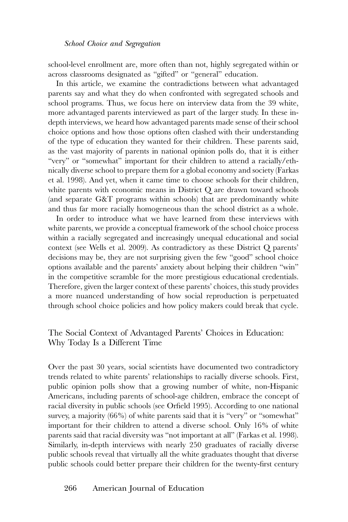school-level enrollment are, more often than not, highly segregated within or across classrooms designated as "gifted" or "general" education.

In this article, we examine the contradictions between what advantaged parents say and what they do when confronted with segregated schools and school programs. Thus, we focus here on interview data from the 39 white, more advantaged parents interviewed as part of the larger study. In these indepth interviews, we heard how advantaged parents made sense of their school choice options and how those options often clashed with their understanding of the type of education they wanted for their children. These parents said, as the vast majority of parents in national opinion polls do, that it is either "very" or "somewhat" important for their children to attend a racially/ethnically diverse school to prepare them for a global economy and society (Farkas et al. 1998). And yet, when it came time to choose schools for their children, white parents with economic means in District Q are drawn toward schools (and separate G&T programs within schools) that are predominantly white and thus far more racially homogeneous than the school district as a whole.

In order to introduce what we have learned from these interviews with white parents, we provide a conceptual framework of the school choice process within a racially segregated and increasingly unequal educational and social context (see Wells et al. 2009). As contradictory as these District Q parents' decisions may be, they are not surprising given the few "good" school choice options available and the parents' anxiety about helping their children "win" in the competitive scramble for the more prestigious educational credentials. Therefore, given the larger context of these parents' choices, this study provides a more nuanced understanding of how social reproduction is perpetuated through school choice policies and how policy makers could break that cycle.

# The Social Context of Advantaged Parents' Choices in Education: Why Today Is a Different Time

Over the past 30 years, social scientists have documented two contradictory trends related to white parents' relationships to racially diverse schools. First, public opinion polls show that a growing number of white, non-Hispanic Americans, including parents of school-age children, embrace the concept of racial diversity in public schools (see Orfield 1995). According to one national survey, a majority (66%) of white parents said that it is "very" or "somewhat" important for their children to attend a diverse school. Only 16% of white parents said that racial diversity was "not important at all" (Farkas et al. 1998). Similarly, in-depth interviews with nearly 250 graduates of racially diverse public schools reveal that virtually all the white graduates thought that diverse public schools could better prepare their children for the twenty-first century

## 266 American Journal of Education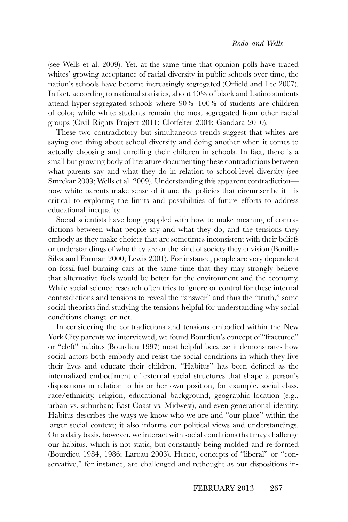(see Wells et al. 2009). Yet, at the same time that opinion polls have traced whites' growing acceptance of racial diversity in public schools over time, the nation's schools have become increasingly segregated (Orfield and Lee 2007). In fact, according to national statistics, about 40% of black and Latino students attend hyper-segregated schools where 90%–100% of students are children of color, while white students remain the most segregated from other racial groups (Civil Rights Project 2011; Clotfelter 2004; Gandara 2010).

These two contradictory but simultaneous trends suggest that whites are saying one thing about school diversity and doing another when it comes to actually choosing and enrolling their children in schools. In fact, there is a small but growing body of literature documenting these contradictions between what parents say and what they do in relation to school-level diversity (see Smrekar 2009; Wells et al. 2009). Understanding this apparent contradiction how white parents make sense of it and the policies that circumscribe it—is critical to exploring the limits and possibilities of future efforts to address educational inequality.

Social scientists have long grappled with how to make meaning of contradictions between what people say and what they do, and the tensions they embody as they make choices that are sometimes inconsistent with their beliefs or understandings of who they are or the kind of society they envision (Bonilla-Silva and Forman 2000; Lewis 2001). For instance, people are very dependent on fossil-fuel burning cars at the same time that they may strongly believe that alternative fuels would be better for the environment and the economy. While social science research often tries to ignore or control for these internal contradictions and tensions to reveal the "answer" and thus the "truth," some social theorists find studying the tensions helpful for understanding why social conditions change or not.

In considering the contradictions and tensions embodied within the New York City parents we interviewed, we found Bourdieu's concept of "fractured" or "cleft" habitus (Bourdieu 1997) most helpful because it demonstrates how social actors both embody and resist the social conditions in which they live their lives and educate their children. "Habitus" has been defined as the internalized embodiment of external social structures that shape a person's dispositions in relation to his or her own position, for example, social class, race/ethnicity, religion, educational background, geographic location (e.g., urban vs. suburban; East Coast vs. Midwest), and even generational identity. Habitus describes the ways we know who we are and "our place" within the larger social context; it also informs our political views and understandings. On a daily basis, however, we interact with social conditions that may challenge our habitus, which is not static, but constantly being molded and re-formed (Bourdieu 1984, 1986; Lareau 2003). Hence, concepts of "liberal" or "conservative," for instance, are challenged and rethought as our dispositions in-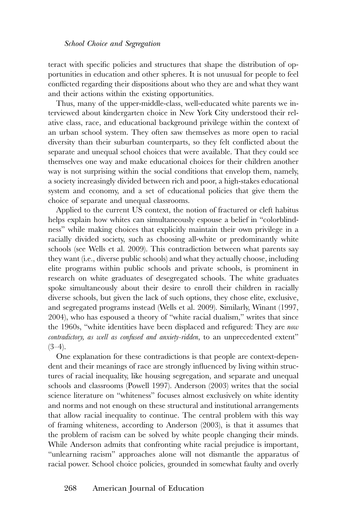teract with specific policies and structures that shape the distribution of opportunities in education and other spheres. It is not unusual for people to feel conflicted regarding their dispositions about who they are and what they want and their actions within the existing opportunities.

Thus, many of the upper-middle-class, well-educated white parents we interviewed about kindergarten choice in New York City understood their relative class, race, and educational background privilege within the context of an urban school system. They often saw themselves as more open to racial diversity than their suburban counterparts, so they felt conflicted about the separate and unequal school choices that were available. That they could see themselves one way and make educational choices for their children another way is not surprising within the social conditions that envelop them, namely, a society increasingly divided between rich and poor, a high-stakes educational system and economy, and a set of educational policies that give them the choice of separate and unequal classrooms.

Applied to the current US context, the notion of fractured or cleft habitus helps explain how whites can simultaneously espouse a belief in "colorblindness" while making choices that explicitly maintain their own privilege in a racially divided society, such as choosing all-white or predominantly white schools (see Wells et al. 2009). This contradiction between what parents say they want (i.e., diverse public schools) and what they actually choose, including elite programs within public schools and private schools, is prominent in research on white graduates of desegregated schools. The white graduates spoke simultaneously about their desire to enroll their children in racially diverse schools, but given the lack of such options, they chose elite, exclusive, and segregated programs instead (Wells et al. 2009). Similarly, Winant (1997, 2004), who has espoused a theory of "white racial dualism," writes that since the 1960s, "white identities have been displaced and refigured: They are *now contradictory, as well as confused and anxiety-ridden*, to an unprecedented extent"  $(3-4)$ .

One explanation for these contradictions is that people are context-dependent and their meanings of race are strongly influenced by living within structures of racial inequality, like housing segregation, and separate and unequal schools and classrooms (Powell 1997). Anderson (2003) writes that the social science literature on "whiteness" focuses almost exclusively on white identity and norms and not enough on these structural and institutional arrangements that allow racial inequality to continue. The central problem with this way of framing whiteness, according to Anderson (2003), is that it assumes that the problem of racism can be solved by white people changing their minds. While Anderson admits that confronting white racial prejudice is important, "unlearning racism" approaches alone will not dismantle the apparatus of racial power. School choice policies, grounded in somewhat faulty and overly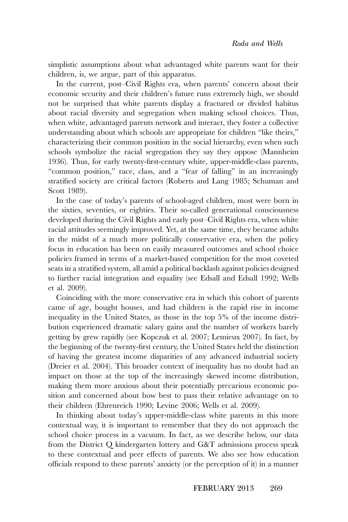simplistic assumptions about what advantaged white parents want for their children, is, we argue, part of this apparatus.

In the current, post–Civil Rights era, when parents' concern about their economic security and their children's future runs extremely high, we should not be surprised that white parents display a fractured or divided habitus about racial diversity and segregation when making school choices. Thus, when white, advantaged parents network and interact, they foster a collective understanding about which schools are appropriate for children "like theirs," characterizing their common position in the social hierarchy, even when such schools symbolize the racial segregation they say they oppose (Mannheim 1936). Thus, for early twenty-first-century white, upper-middle-class parents, "common position," race, class, and a "fear of falling" in an increasingly stratified society are critical factors (Roberts and Lang 1985; Schuman and Scott 1989).

In the case of today's parents of school-aged children, most were born in the sixties, seventies, or eighties. Their so-called generational consciousness developed during the Civil Rights and early post–Civil Rights era, when white racial attitudes seemingly improved. Yet, at the same time, they became adults in the midst of a much more politically conservative era, when the policy focus in education has been on easily measured outcomes and school choice policies framed in terms of a market-based competition for the most coveted seats in a stratified system, all amid a political backlash against policies designed to further racial integration and equality (see Edsall and Edsall 1992; Wells et al. 2009).

Coinciding with the more conservative era in which this cohort of parents came of age, bought houses, and had children is the rapid rise in income inequality in the United States, as those in the top 5% of the income distribution experienced dramatic salary gains and the number of workers barely getting by grew rapidly (see Kopczuk et al. 2007; Lemieux 2007). In fact, by the beginning of the twenty-first century, the United States held the distinction of having the greatest income disparities of any advanced industrial society (Dreier et al. 2004). This broader context of inequality has no doubt had an impact on those at the top of the increasingly skewed income distribution, making them more anxious about their potentially precarious economic position and concerned about how best to pass their relative advantage on to their children (Ehrenreich 1990; Levine 2006; Wells et al. 2009).

In thinking about today's upper-middle-class white parents in this more contextual way, it is important to remember that they do not approach the school choice process in a vacuum. In fact, as we describe below, our data from the District Q kindergarten lottery and G&T admissions process speak to these contextual and peer effects of parents. We also see how education officials respond to these parents' anxiety (or the perception of it) in a manner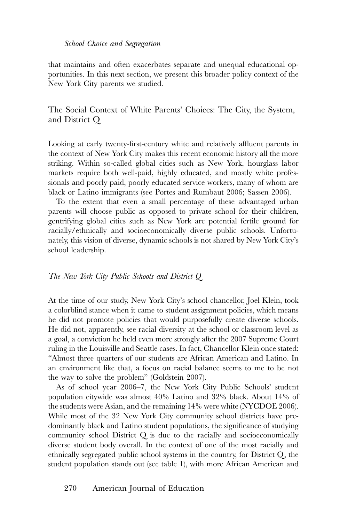that maintains and often exacerbates separate and unequal educational opportunities. In this next section, we present this broader policy context of the New York City parents we studied.

The Social Context of White Parents' Choices: The City, the System, and District Q

Looking at early twenty-first-century white and relatively affluent parents in the context of New York City makes this recent economic history all the more striking. Within so-called global cities such as New York, hourglass labor markets require both well-paid, highly educated, and mostly white professionals and poorly paid, poorly educated service workers, many of whom are black or Latino immigrants (see Portes and Rumbaut 2006; Sassen 2006).

To the extent that even a small percentage of these advantaged urban parents will choose public as opposed to private school for their children, gentrifying global cities such as New York are potential fertile ground for racially/ethnically and socioeconomically diverse public schools. Unfortunately, this vision of diverse, dynamic schools is not shared by New York City's school leadership.

#### *The New York City Public Schools and District Q*

At the time of our study, New York City's school chancellor, Joel Klein, took a colorblind stance when it came to student assignment policies, which means he did not promote policies that would purposefully create diverse schools. He did not, apparently, see racial diversity at the school or classroom level as a goal, a conviction he held even more strongly after the 2007 Supreme Court ruling in the Louisville and Seattle cases. In fact, Chancellor Klein once stated: "Almost three quarters of our students are African American and Latino. In an environment like that, a focus on racial balance seems to me to be not the way to solve the problem" (Goldstein 2007).

As of school year 2006–7, the New York City Public Schools' student population citywide was almost 40% Latino and 32% black. About 14% of the students were Asian, and the remaining 14% were white (NYCDOE 2006). While most of the 32 New York City community school districts have predominantly black and Latino student populations, the significance of studying community school District Q is due to the racially and socioeconomically diverse student body overall. In the context of one of the most racially and ethnically segregated public school systems in the country, for District Q, the student population stands out (see table 1), with more African American and

# 270 American Journal of Education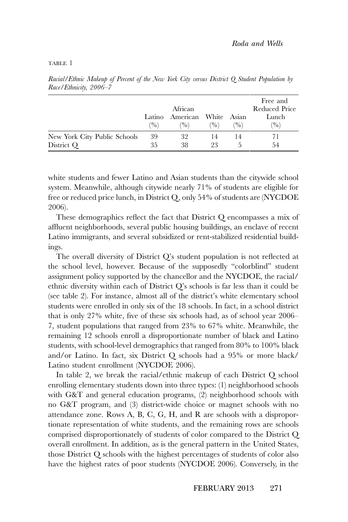#### TABLE 1

|                                            |                         | African                               | Free and<br>Reduced Price |     |              |
|--------------------------------------------|-------------------------|---------------------------------------|---------------------------|-----|--------------|
|                                            | Latino<br>$\frac{9}{0}$ | American White Asian<br>$\frac{9}{0}$ | $\frac{9}{0}$             | (9) | Lunch<br>(9) |
| New York City Public Schools<br>District Q | 39<br>35                | 32<br>38                              | 14<br>23                  | 14  | 54           |

*Racial/Ethnic Makeup of Percent of the New York City versus District Q Student Population by Race/Ethnicity, 2006–7*

white students and fewer Latino and Asian students than the citywide school system. Meanwhile, although citywide nearly 71% of students are eligible for free or reduced price lunch, in District Q, only 54% of students are (NYCDOE 2006).

These demographics reflect the fact that District Q encompasses a mix of affluent neighborhoods, several public housing buildings, an enclave of recent Latino immigrants, and several subsidized or rent-stabilized residential buildings.

The overall diversity of District Q's student population is not reflected at the school level, however. Because of the supposedly "colorblind" student assignment policy supported by the chancellor and the NYCDOE, the racial/ ethnic diversity within each of District Q's schools is far less than it could be (see table 2). For instance, almost all of the district's white elementary school students were enrolled in only six of the 18 schools. In fact, in a school district that is only 27% white, five of these six schools had, as of school year 2006– 7, student populations that ranged from 23% to 67% white. Meanwhile, the remaining 12 schools enroll a disproportionate number of black and Latino students, with school-level demographics that ranged from 80% to 100% black and/or Latino. In fact, six District Q schools had a 95% or more black/ Latino student enrollment (NYCDOE 2006).

In table 2, we break the racial/ethnic makeup of each District Q school enrolling elementary students down into three types: (1) neighborhood schools with G&T and general education programs, (2) neighborhood schools with no G&T program, and (3) district-wide choice or magnet schools with no attendance zone. Rows A, B, C, G, H, and R are schools with a disproportionate representation of white students, and the remaining rows are schools comprised disproportionately of students of color compared to the District Q overall enrollment. In addition, as is the general pattern in the United States, those District Q schools with the highest percentages of students of color also have the highest rates of poor students (NYCDOE 2006). Conversely, in the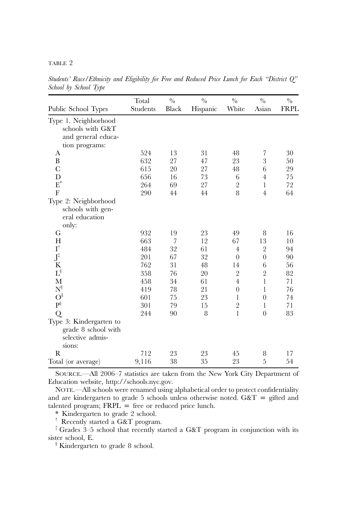#### TABLE 2

|                                         | Total    | $\frac{0}{0}$ | $\frac{0}{0}$ | $\frac{0}{0}$  | $\frac{0}{0}$  | $\frac{0}{0}$ |
|-----------------------------------------|----------|---------------|---------------|----------------|----------------|---------------|
| Public School Types                     | Students | Black         | Hispanic      | White          | Asian          | <b>FRPL</b>   |
| Type 1. Neighborhood                    |          |               |               |                |                |               |
| schools with G&T                        |          |               |               |                |                |               |
| and general educa-                      |          |               |               |                |                |               |
| tion programs:                          |          |               |               |                |                |               |
| А                                       | 524      | 13            | 31            | 48             | 7              | 30            |
| B                                       | 632      | 27            | 47            | 23             | 3              | 50            |
| $\mathbf C$                             | 615      | 20            | 27            | 48             | 6              | 29            |
| D                                       | 656      | 16            | 73            | 6              | $\overline{4}$ | 75            |
| $E^*$                                   | 264      | 69            | 27            | $\overline{2}$ | $\mathbf{1}$   | 72            |
| F                                       | 290      | 44            | 44            | 8              | $\overline{4}$ | 64            |
| Type 2: Neighborhood                    |          |               |               |                |                |               |
| schools with gen-                       |          |               |               |                |                |               |
| eral education                          |          |               |               |                |                |               |
| only:                                   |          |               |               |                |                |               |
| G                                       | 932      | 19            | 23            | 49             | 8              | 16            |
| H                                       | 663      | 7             | 12            | 67             | 13             | 10            |
| $\textbf{I}^\dagger$                    | 484      | 32            | 61            | $\overline{4}$ | $\overline{2}$ | 94            |
| $J^{\ddagger}$                          | 201      | 67            | 32            | $\overline{0}$ | $\overline{0}$ | 90            |
| ${\bf K}$                               | 762      | 31            | 48            | 14             | 6              | 56            |
| $\Gamma_{\delta}$                       | 358      | 76            | 20            | $\overline{2}$ | $\overline{2}$ | 82            |
| M                                       | 458      | 34            | 61            | $\overline{4}$ | $\mathbf{1}$   | 71            |
| $N^{\S}$                                | 419      | 78            | 21            | $\overline{0}$ | $\mathbf{1}$   | 76            |
| $O^{\S}$                                | 601      | 75            | 23            | 1              | $\overline{0}$ | 74            |
| $\mathbf{P}^\S$                         | 301      | 79            | 15            | $\overline{2}$ | 1              | 71            |
| Q                                       | 244      | 90            | 8             | $\mathbf{1}$   | $\overline{0}$ | 83            |
| Type 3: Kindergarten to                 |          |               |               |                |                |               |
| grade 8 school with<br>selective admis- |          |               |               |                |                |               |
| sions:                                  |          |               |               |                |                |               |
| R                                       | 712      | 23            | 23            | 45             | 8              | 17            |
| Total (or average)                      | 9,116    | 38            | 35            | 23             | 5              | 54            |

*Students' Race/Ethnicity and Eligibility for Free and Reduced Price Lunch for Each "District Q" School by School Type*

SOURCE.—All 2006–7 statistics are taken from the New York City Department of Education website, [http://schools.nyc.gov.](http://schools.nyc.gov)

NOTE.—All schools were renamed using alphabetical order to protect confidentiality and are kindergarten to grade 5 schools unless otherwise noted. G&T = gifted and talented program;  $FRPL \equiv$  free or reduced price lunch.

\* Kindergarten to grade 2 school.

† Recently started a G&T program.

 $\pm$  Grades 3–5 school that recently started a G&T program in conjunction with its sister school, E.

<sup>§</sup> Kindergarten to grade 8 school.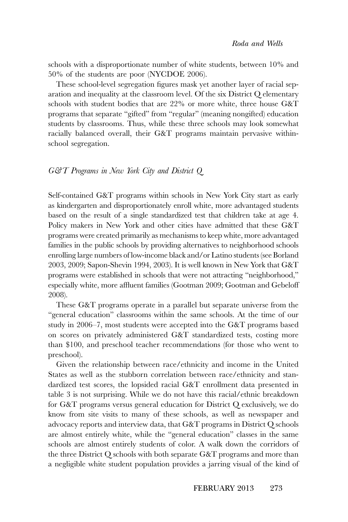schools with a disproportionate number of white students, between 10% and 50% of the students are poor (NYCDOE 2006).

These school-level segregation figures mask yet another layer of racial separation and inequality at the classroom level. Of the six District Q elementary schools with student bodies that are 22% or more white, three house G&T programs that separate "gifted" from "regular" (meaning nongifted) education students by classrooms. Thus, while these three schools may look somewhat racially balanced overall, their G&T programs maintain pervasive withinschool segregation.

#### *G&T Programs in New York City and District Q*

Self-contained G&T programs within schools in New York City start as early as kindergarten and disproportionately enroll white, more advantaged students based on the result of a single standardized test that children take at age 4. Policy makers in New York and other cities have admitted that these G&T programs were created primarily as mechanisms to keep white, more advantaged families in the public schools by providing alternatives to neighborhood schools enrolling large numbers of low-income black and/or Latino students (see Borland 2003, 2009; Sapon-Shevin 1994, 2003). It is well known in New York that G&T programs were established in schools that were not attracting "neighborhood," especially white, more affluent families (Gootman 2009; Gootman and Gebeloff 2008).

These G&T programs operate in a parallel but separate universe from the "general education" classrooms within the same schools. At the time of our study in 2006–7, most students were accepted into the G&T programs based on scores on privately administered G&T standardized tests, costing more than \$100, and preschool teacher recommendations (for those who went to preschool).

Given the relationship between race/ethnicity and income in the United States as well as the stubborn correlation between race/ethnicity and standardized test scores, the lopsided racial G&T enrollment data presented in table 3 is not surprising. While we do not have this racial/ethnic breakdown for G&T programs versus general education for District Q exclusively, we do know from site visits to many of these schools, as well as newspaper and advocacy reports and interview data, that G&T programs in District Q schools are almost entirely white, while the "general education" classes in the same schools are almost entirely students of color. A walk down the corridors of the three District Q schools with both separate G&T programs and more than a negligible white student population provides a jarring visual of the kind of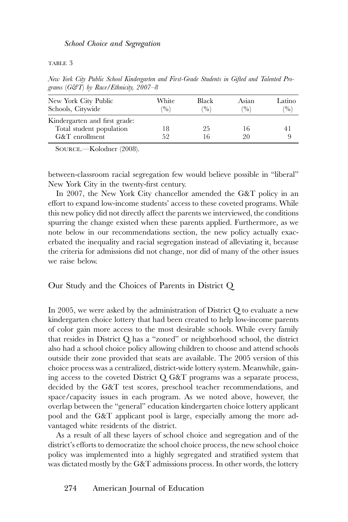TABLE 3

| grams $\sigma$ ( $\sigma$ ) by Katel Emmany, 2007–0 |                        |                        |                         |  |  |  |  |  |
|-----------------------------------------------------|------------------------|------------------------|-------------------------|--|--|--|--|--|
| White<br>(9)                                        | Black<br>$\frac{9}{0}$ | Asian<br>$\frac{9}{0}$ | Latino<br>$\frac{9}{0}$ |  |  |  |  |  |
|                                                     |                        |                        |                         |  |  |  |  |  |
|                                                     | 25                     | 16                     | 41                      |  |  |  |  |  |
| 52                                                  | 16                     | 20                     | Q                       |  |  |  |  |  |
|                                                     |                        |                        |                         |  |  |  |  |  |

*New York City Public School Kindergarten and First-Grade Students in Gifted and Talented Programs* (*G&T*) *by Race/Ethnicity, 2007–8*

SOURCE.—Kolodner (2008).

between-classroom racial segregation few would believe possible in "liberal" New York City in the twenty-first century.

In 2007, the New York City chancellor amended the G&T policy in an effort to expand low-income students' access to these coveted programs. While this new policy did not directly affect the parents we interviewed, the conditions spurring the change existed when these parents applied. Furthermore, as we note below in our recommendations section, the new policy actually exacerbated the inequality and racial segregation instead of alleviating it, because the criteria for admissions did not change, nor did of many of the other issues we raise below.

Our Study and the Choices of Parents in District Q

In 2005, we were asked by the administration of District Q to evaluate a new kindergarten choice lottery that had been created to help low-income parents of color gain more access to the most desirable schools. While every family that resides in District Q has a "zoned" or neighborhood school, the district also had a school choice policy allowing children to choose and attend schools outside their zone provided that seats are available. The 2005 version of this choice process was a centralized, district-wide lottery system. Meanwhile, gaining access to the coveted District Q G&T programs was a separate process, decided by the G&T test scores, preschool teacher recommendations, and space/capacity issues in each program. As we noted above, however, the overlap between the "general" education kindergarten choice lottery applicant pool and the G&T applicant pool is large, especially among the more advantaged white residents of the district.

As a result of all these layers of school choice and segregation and of the district's efforts to democratize the school choice process, the new school choice policy was implemented into a highly segregated and stratified system that was dictated mostly by the G&T admissions process. In other words, the lottery

# 274 American Journal of Education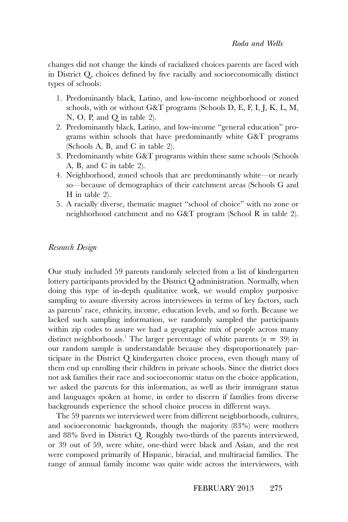changes did not change the kinds of racialized choices parents are faced with in District Q, choices defined by five racially and socioeconomically distinct types of schools:

- 1. Predominantly black, Latino, and low-income neighborhood or zoned schools, with or without G&T programs (Schools D, E, F, I, J, K, L, M, N, O, P, and Q in table 2).
- 2. Predominantly black, Latino, and low-income "general education" programs within schools that have predominantly white G&T programs (Schools A, B, and C in table 2).
- 3. Predominantly white G&T programs within these same schools (Schools A, B, and C in table 2).
- 4. Neighborhood, zoned schools that are predominantly white—or nearly so—because of demographics of their catchment areas (Schools G and H in table 2).
- 5. A racially diverse, thematic magnet "school of choice" with no zone or neighborhood catchment and no G&T program (School R in table 2).

# *Research Design*

Our study included 59 parents randomly selected from a list of kindergarten lottery participants provided by the District Q administration. Normally, when doing this type of in-depth qualitative work, we would employ purposive sampling to assure diversity across interviewees in terms of key factors, such as parents' race, ethnicity, income, education levels, and so forth. Because we lacked such sampling information, we randomly sampled the participants within zip codes to assure we had a geographic mix of people across many distinct neighborhoods.<sup>1</sup> The larger percentage of white parents  $(n = 39)$  in our random sample is understandable because they disproportionately participate in the District Q kindergarten choice process, even though many of them end up enrolling their children in private schools. Since the district does not ask families their race and socioeconomic status on the choice application, we asked the parents for this information, as well as their immigrant status and languages spoken at home, in order to discern if families from diverse backgrounds experience the school choice process in different ways.

The 59 parents we interviewed were from different neighborhoods, cultures, and socioeconomic backgrounds, though the majority (83%) were mothers and 88% lived in District Q. Roughly two-thirds of the parents interviewed, or 39 out of 59, were white, one-third were black and Asian, and the rest were composed primarily of Hispanic, biracial, and multiracial families. The range of annual family income was quite wide across the interviewees, with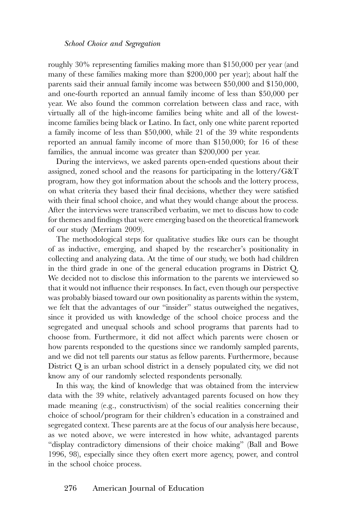roughly 30% representing families making more than \$150,000 per year (and many of these families making more than \$200,000 per year); about half the parents said their annual family income was between \$50,000 and \$150,000, and one-fourth reported an annual family income of less than \$50,000 per year. We also found the common correlation between class and race, with virtually all of the high-income families being white and all of the lowestincome families being black or Latino. In fact, only one white parent reported a family income of less than \$50,000, while 21 of the 39 white respondents reported an annual family income of more than \$150,000; for 16 of these families, the annual income was greater than \$200,000 per year.

During the interviews, we asked parents open-ended questions about their assigned, zoned school and the reasons for participating in the lottery/G&T program, how they got information about the schools and the lottery process, on what criteria they based their final decisions, whether they were satisfied with their final school choice, and what they would change about the process. After the interviews were transcribed verbatim, we met to discuss how to code for themes and findings that were emerging based on the theoretical framework of our study (Merriam 2009).

The methodological steps for qualitative studies like ours can be thought of as inductive, emerging, and shaped by the researcher's positionality in collecting and analyzing data. At the time of our study, we both had children in the third grade in one of the general education programs in District Q. We decided not to disclose this information to the parents we interviewed so that it would not influence their responses. In fact, even though our perspective was probably biased toward our own positionality as parents within the system, we felt that the advantages of our "insider" status outweighed the negatives, since it provided us with knowledge of the school choice process and the segregated and unequal schools and school programs that parents had to choose from. Furthermore, it did not affect which parents were chosen or how parents responded to the questions since we randomly sampled parents, and we did not tell parents our status as fellow parents. Furthermore, because District Q is an urban school district in a densely populated city, we did not know any of our randomly selected respondents personally.

In this way, the kind of knowledge that was obtained from the interview data with the 39 white, relatively advantaged parents focused on how they made meaning (e.g., constructivism) of the social realities concerning their choice of school/program for their children's education in a constrained and segregated context. These parents are at the focus of our analysis here because, as we noted above, we were interested in how white, advantaged parents "display contradictory dimensions of their choice making" (Ball and Bowe 1996, 98), especially since they often exert more agency, power, and control in the school choice process.

# 276 American Journal of Education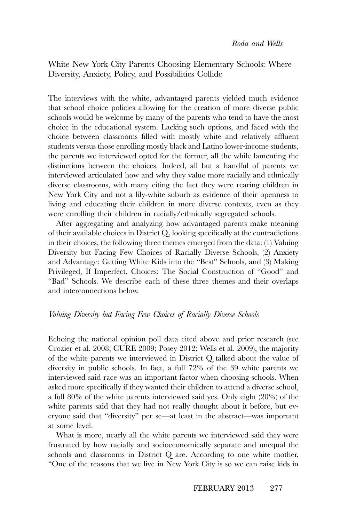White New York City Parents Choosing Elementary Schools: Where Diversity, Anxiety, Policy, and Possibilities Collide

The interviews with the white, advantaged parents yielded much evidence that school choice policies allowing for the creation of more diverse public schools would be welcome by many of the parents who tend to have the most choice in the educational system. Lacking such options, and faced with the choice between classrooms filled with mostly white and relatively affluent students versus those enrolling mostly black and Latino lower-income students, the parents we interviewed opted for the former, all the while lamenting the distinctions between the choices. Indeed, all but a handful of parents we interviewed articulated how and why they value more racially and ethnically diverse classrooms, with many citing the fact they were rearing children in New York City and not a lily-white suburb as evidence of their openness to living and educating their children in more diverse contexts, even as they were enrolling their children in racially/ethnically segregated schools.

After aggregating and analyzing how advantaged parents make meaning of their available choices in District Q, looking specifically at the contradictions in their choices, the following three themes emerged from the data: (1) Valuing Diversity but Facing Few Choices of Racially Diverse Schools, (2) Anxiety and Advantage: Getting White Kids into the "Best" Schools, and (3) Making Privileged, If Imperfect, Choices: The Social Construction of "Good" and "Bad" Schools. We describe each of these three themes and their overlaps and interconnections below.

# *Valuing Diversity but Facing Few Choices of Racially Diverse Schools*

Echoing the national opinion poll data cited above and prior research (see Crozier et al. 2008; CURE 2009; Posey 2012; Wells et al. 2009), the majority of the white parents we interviewed in District Q talked about the value of diversity in public schools. In fact, a full 72% of the 39 white parents we interviewed said race was an important factor when choosing schools. When asked more specifically if they wanted their children to attend a diverse school, a full 80% of the white parents interviewed said yes. Only eight (20%) of the white parents said that they had not really thought about it before, but everyone said that "diversity" per se—at least in the abstract—was important at some level.

What is more, nearly all the white parents we interviewed said they were frustrated by how racially and socioeconomically separate and unequal the schools and classrooms in District Q are. According to one white mother, "One of the reasons that we live in New York City is so we can raise kids in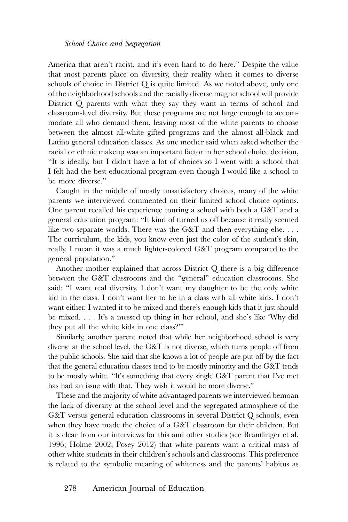America that aren't racist, and it's even hard to do here." Despite the value that most parents place on diversity, their reality when it comes to diverse schools of choice in District Q is quite limited. As we noted above, only one of the neighborhood schools and the racially diverse magnet school will provide District Q parents with what they say they want in terms of school and classroom-level diversity. But these programs are not large enough to accommodate all who demand them, leaving most of the white parents to choose between the almost all-white gifted programs and the almost all-black and Latino general education classes. As one mother said when asked whether the racial or ethnic makeup was an important factor in her school choice decision, "It is ideally, but I didn't have a lot of choices so I went with a school that I felt had the best educational program even though I would like a school to be more diverse."

Caught in the middle of mostly unsatisfactory choices, many of the white parents we interviewed commented on their limited school choice options. One parent recalled his experience touring a school with both a G&T and a general education program: "It kind of turned us off because it really seemed like two separate worlds. There was the G&T and then everything else.  $\dots$ The curriculum, the kids, you know even just the color of the student's skin, really. I mean it was a much lighter-colored G&T program compared to the general population."

Another mother explained that across District Q there is a big difference between the G&T classrooms and the "general" education classrooms. She said: "I want real diversity. I don't want my daughter to be the only white kid in the class. I don't want her to be in a class with all white kids. I don't want either. I wanted it to be mixed and there's enough kids that it just should be mixed.... It's a messed up thing in her school, and she's like 'Why did they put all the white kids in one class?'"

Similarly, another parent noted that while her neighborhood school is very diverse at the school level, the G&T is not diverse, which turns people off from the public schools. She said that she knows a lot of people are put off by the fact that the general education classes tend to be mostly minority and the G&T tends to be mostly white. "It's something that every single G&T parent that I've met has had an issue with that. They wish it would be more diverse."

These and the majority of white advantaged parents we interviewed bemoan the lack of diversity at the school level and the segregated atmosphere of the G&T versus general education classrooms in several District Q schools, even when they have made the choice of a G&T classroom for their children. But it is clear from our interviews for this and other studies (see Brantlinger et al. 1996; Holme 2002; Posey 2012) that white parents want a critical mass of other white students in their children's schools and classrooms. This preference is related to the symbolic meaning of whiteness and the parents' habitus as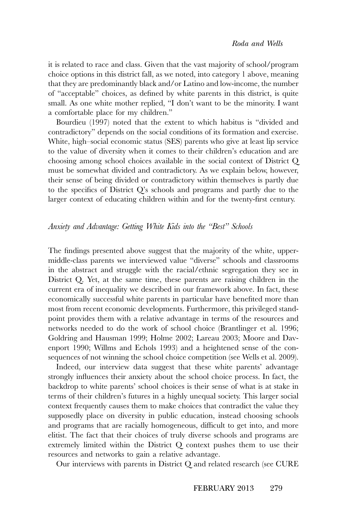it is related to race and class. Given that the vast majority of school/program choice options in this district fall, as we noted, into category 1 above, meaning that they are predominantly black and/or Latino and low-income, the number of "acceptable" choices, as defined by white parents in this district, is quite small. As one white mother replied, "I don't want to be the minority. I want a comfortable place for my children."

Bourdieu (1997) noted that the extent to which habitus is "divided and contradictory" depends on the social conditions of its formation and exercise. White, high–social economic status (SES) parents who give at least lip service to the value of diversity when it comes to their children's education and are choosing among school choices available in the social context of District Q must be somewhat divided and contradictory. As we explain below, however, their sense of being divided or contradictory within themselves is partly due to the specifics of District Q's schools and programs and partly due to the larger context of educating children within and for the twenty-first century.

### *Anxiety and Advantage: Getting White Kids into the "Best" Schools*

The findings presented above suggest that the majority of the white, uppermiddle-class parents we interviewed value "diverse" schools and classrooms in the abstract and struggle with the racial/ethnic segregation they see in District Q. Yet, at the same time, these parents are raising children in the current era of inequality we described in our framework above. In fact, these economically successful white parents in particular have benefited more than most from recent economic developments. Furthermore, this privileged standpoint provides them with a relative advantage in terms of the resources and networks needed to do the work of school choice (Brantlinger et al. 1996; Goldring and Hausman 1999; Holme 2002; Lareau 2003; Moore and Davenport 1990; Willms and Echols 1993) and a heightened sense of the consequences of not winning the school choice competition (see Wells et al. 2009).

Indeed, our interview data suggest that these white parents' advantage strongly influences their anxiety about the school choice process. In fact, the backdrop to white parents' school choices is their sense of what is at stake in terms of their children's futures in a highly unequal society. This larger social context frequently causes them to make choices that contradict the value they supposedly place on diversity in public education, instead choosing schools and programs that are racially homogeneous, difficult to get into, and more elitist. The fact that their choices of truly diverse schools and programs are extremely limited within the District Q context pushes them to use their resources and networks to gain a relative advantage.

Our interviews with parents in District Q and related research (see CURE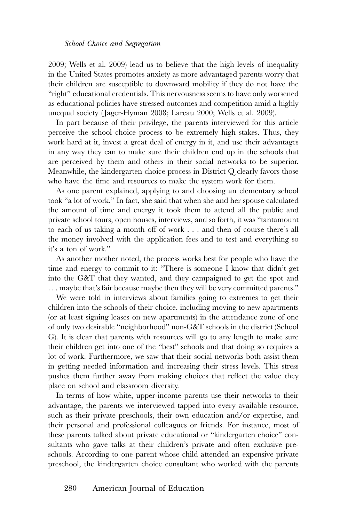2009; Wells et al. 2009) lead us to believe that the high levels of inequality in the United States promotes anxiety as more advantaged parents worry that their children are susceptible to downward mobility if they do not have the "right" educational credentials. This nervousness seems to have only worsened as educational policies have stressed outcomes and competition amid a highly unequal society (Jager-Hyman 2008; Lareau 2000; Wells et al. 2009).

In part because of their privilege, the parents interviewed for this article perceive the school choice process to be extremely high stakes. Thus, they work hard at it, invest a great deal of energy in it, and use their advantages in any way they can to make sure their children end up in the schools that are perceived by them and others in their social networks to be superior. Meanwhile, the kindergarten choice process in District Q clearly favors those who have the time and resources to make the system work for them.

As one parent explained, applying to and choosing an elementary school took "a lot of work." In fact, she said that when she and her spouse calculated the amount of time and energy it took them to attend all the public and private school tours, open houses, interviews, and so forth, it was "tantamount to each of us taking a month off of work . . . and then of course there's all the money involved with the application fees and to test and everything so it's a ton of work."

As another mother noted, the process works best for people who have the time and energy to commit to it: "There is someone I know that didn't get into the G&T that they wanted, and they campaigned to get the spot and . . . maybe that's fair because maybe then they will be very committed parents."

We were told in interviews about families going to extremes to get their children into the schools of their choice, including moving to new apartments (or at least signing leases on new apartments) in the attendance zone of one of only two desirable "neighborhood" non-G&T schools in the district (School G). It is clear that parents with resources will go to any length to make sure their children get into one of the "best" schools and that doing so requires a lot of work. Furthermore, we saw that their social networks both assist them in getting needed information and increasing their stress levels. This stress pushes them further away from making choices that reflect the value they place on school and classroom diversity.

In terms of how white, upper-income parents use their networks to their advantage, the parents we interviewed tapped into every available resource, such as their private preschools, their own education and/or expertise, and their personal and professional colleagues or friends. For instance, most of these parents talked about private educational or "kindergarten choice" consultants who gave talks at their children's private and often exclusive preschools. According to one parent whose child attended an expensive private preschool, the kindergarten choice consultant who worked with the parents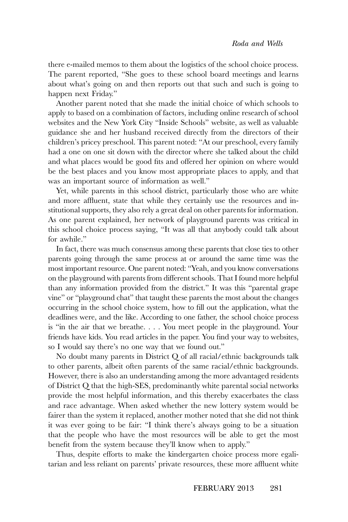there e-mailed memos to them about the logistics of the school choice process. The parent reported, "She goes to these school board meetings and learns about what's going on and then reports out that such and such is going to happen next Friday."

Another parent noted that she made the initial choice of which schools to apply to based on a combination of factors, including online research of school websites and the New York City "Inside Schools" website, as well as valuable guidance she and her husband received directly from the directors of their children's pricey preschool. This parent noted: "At our preschool, every family had a one on one sit down with the director where she talked about the child and what places would be good fits and offered her opinion on where would be the best places and you know most appropriate places to apply, and that was an important source of information as well."

Yet, while parents in this school district, particularly those who are white and more affluent, state that while they certainly use the resources and institutional supports, they also rely a great deal on other parents for information. As one parent explained, her network of playground parents was critical in this school choice process saying, "It was all that anybody could talk about for awhile."

In fact, there was much consensus among these parents that close ties to other parents going through the same process at or around the same time was the most important resource. One parent noted: "Yeah, and you know conversations on the playground with parents from different schools. That I found more helpful than any information provided from the district." It was this "parental grape vine" or "playground chat" that taught these parents the most about the changes occurring in the school choice system, how to fill out the application, what the deadlines were, and the like. According to one father, the school choice process is "in the air that we breathe. . . . You meet people in the playground. Your friends have kids. You read articles in the paper. You find your way to websites, so I would say there's no one way that we found out."

No doubt many parents in District Q of all racial/ethnic backgrounds talk to other parents, albeit often parents of the same racial/ethnic backgrounds. However, there is also an understanding among the more advantaged residents of District Q that the high-SES, predominantly white parental social networks provide the most helpful information, and this thereby exacerbates the class and race advantage. When asked whether the new lottery system would be fairer than the system it replaced, another mother noted that she did not think it was ever going to be fair: "I think there's always going to be a situation that the people who have the most resources will be able to get the most benefit from the system because they'll know when to apply."

Thus, despite efforts to make the kindergarten choice process more egalitarian and less reliant on parents' private resources, these more affluent white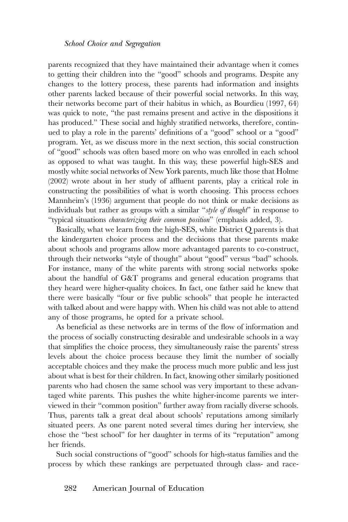parents recognized that they have maintained their advantage when it comes to getting their children into the "good" schools and programs. Despite any changes to the lottery process, these parents had information and insights other parents lacked because of their powerful social networks. In this way, their networks become part of their habitus in which, as Bourdieu (1997, 64) was quick to note, "the past remains present and active in the dispositions it has produced." These social and highly stratified networks, therefore, continued to play a role in the parents' definitions of a "good" school or a "good" program. Yet, as we discuss more in the next section, this social construction of "good" schools was often based more on who was enrolled in each school as opposed to what was taught. In this way, these powerful high-SES and mostly white social networks of New York parents, much like those that Holme (2002) wrote about in her study of affluent parents, play a critical role in constructing the possibilities of what is worth choosing. This process echoes Mannheim's (1936) argument that people do not think or make decisions as individuals but rather as groups with a similar "*style of thought*" in response to "typical situations *characterizing their common position*" (emphasis added, 3).

Basically, what we learn from the high-SES, white District Q parents is that the kindergarten choice process and the decisions that these parents make about schools and programs allow more advantaged parents to co-construct, through their networks "style of thought" about "good" versus "bad" schools. For instance, many of the white parents with strong social networks spoke about the handful of G&T programs and general education programs that they heard were higher-quality choices. In fact, one father said he knew that there were basically "four or five public schools" that people he interacted with talked about and were happy with. When his child was not able to attend any of those programs, he opted for a private school.

As beneficial as these networks are in terms of the flow of information and the process of socially constructing desirable and undesirable schools in a way that simplifies the choice process, they simultaneously raise the parents' stress levels about the choice process because they limit the number of socially acceptable choices and they make the process much more public and less just about what is best for their children. In fact, knowing other similarly positioned parents who had chosen the same school was very important to these advantaged white parents. This pushes the white higher-income parents we interviewed in their "common position" further away from racially diverse schools. Thus, parents talk a great deal about schools' reputations among similarly situated peers. As one parent noted several times during her interview, she chose the "best school" for her daughter in terms of its "reputation" among her friends.

Such social constructions of "good" schools for high-status families and the process by which these rankings are perpetuated through class- and race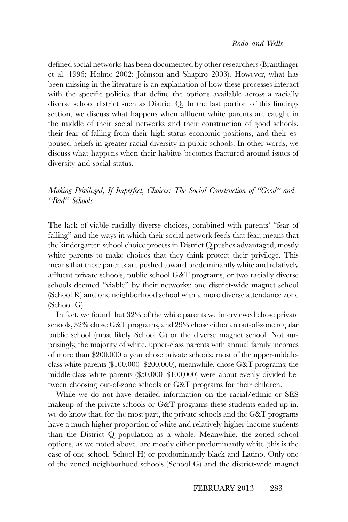defined social networks has been documented by other researchers (Brantlinger et al. 1996; Holme 2002; Johnson and Shapiro 2003). However, what has been missing in the literature is an explanation of how these processes interact with the specific policies that define the options available across a racially diverse school district such as District Q. In the last portion of this findings section, we discuss what happens when affluent white parents are caught in the middle of their social networks and their construction of good schools, their fear of falling from their high status economic positions, and their espoused beliefs in greater racial diversity in public schools. In other words, we discuss what happens when their habitus becomes fractured around issues of diversity and social status.

# *Making Privileged, If Imperfect, Choices: The Social Construction of "Good" and "Bad" Schools*

The lack of viable racially diverse choices, combined with parents' "fear of falling" and the ways in which their social network feeds that fear, means that the kindergarten school choice process in District Q pushes advantaged, mostly white parents to make choices that they think protect their privilege. This means that these parents are pushed toward predominantly white and relatively affluent private schools, public school G&T programs, or two racially diverse schools deemed "viable" by their networks: one district-wide magnet school (School R) and one neighborhood school with a more diverse attendance zone (School G).

In fact, we found that 32% of the white parents we interviewed chose private schools, 32% chose G&T programs, and 29% chose either an out-of-zone regular public school (most likely School G) or the diverse magnet school. Not surprisingly, the majority of white, upper-class parents with annual family incomes of more than \$200,000 a year chose private schools; most of the upper-middleclass white parents (\$100,000–\$200,000), meanwhile, chose G&T programs; the middle-class white parents (\$50,000–\$100,000) were about evenly divided between choosing out-of-zone schools or G&T programs for their children.

While we do not have detailed information on the racial/ethnic or SES makeup of the private schools or G&T programs these students ended up in, we do know that, for the most part, the private schools and the G&T programs have a much higher proportion of white and relatively higher-income students than the District Q population as a whole. Meanwhile, the zoned school options, as we noted above, are mostly either predominantly white (this is the case of one school, School H) or predominantly black and Latino. Only one of the zoned neighborhood schools (School G) and the district-wide magnet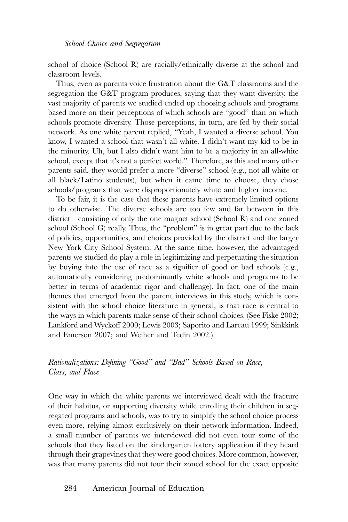school of choice (School R) are racially/ethnically diverse at the school and classroom levels.

Thus, even as parents voice frustration about the G&T classrooms and the segregation the G&T program produces, saying that they want diversity, the vast majority of parents we studied ended up choosing schools and programs based more on their perceptions of which schools are "good" than on which schools promote diversity. Those perceptions, in turn, are fed by their social network. As one white parent replied, "Yeah, I wanted a diverse school. You know, I wanted a school that wasn't all white. I didn't want my kid to be in the minority. Uh, but I also didn't want him to be a majority in an all-white school, except that it's not a perfect world." Therefore, as this and many other parents said, they would prefer a more "diverse" school (e.g., not all white or all black/Latino students), but when it came time to choose, they chose schools/programs that were disproportionately white and higher income.

To be fair, it is the case that these parents have extremely limited options to do otherwise. The diverse schools are too few and far between in this district—consisting of only the one magnet school (School R) and one zoned school (School G) really. Thus, the "problem" is in great part due to the lack of policies, opportunities, and choices provided by the district and the larger New York City School System. At the same time, however, the advantaged parents we studied do play a role in legitimizing and perpetuating the situation by buying into the use of race as a signifier of good or bad schools (e.g., automatically considering predominantly white schools and programs to be better in terms of academic rigor and challenge). In fact, one of the main themes that emerged from the parent interviews in this study, which is consistent with the school choice literature in general, is that race is central to the ways in which parents make sense of their school choices. (See Fiske 2002; Lankford and Wyckoff 2000; Lewis 2003; Saporito and Lareau 1999; Sinkkink and Emerson 2007; and Weiher and Tedin 2002.)

*Rationalizations: Defining "Good" and "Bad" Schools Based on Race, Class, and Place*

One way in which the white parents we interviewed dealt with the fracture of their habitus, or supporting diversity while enrolling their children in segregated programs and schools, was to try to simplify the school choice process even more, relying almost exclusively on their network information. Indeed, a small number of parents we interviewed did not even tour some of the schools that they listed on the kindergarten lottery application if they heard through their grapevines that they were good choices. More common, however, was that many parents did not tour their zoned school for the exact opposite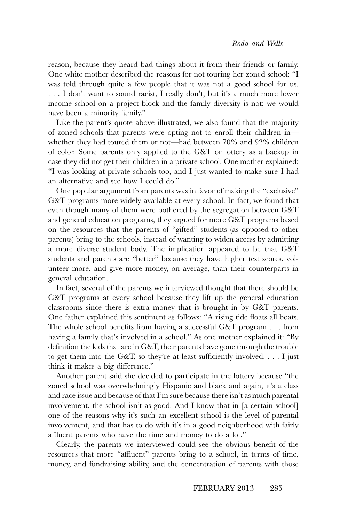reason, because they heard bad things about it from their friends or family. One white mother described the reasons for not touring her zoned school: "I was told through quite a few people that it was not a good school for us. . . . I don't want to sound racist, I really don't, but it's a much more lower income school on a project block and the family diversity is not; we would have been a minority family."

Like the parent's quote above illustrated, we also found that the majority of zoned schools that parents were opting not to enroll their children in whether they had toured them or not—had between 70% and 92% children of color. Some parents only applied to the G&T or lottery as a backup in case they did not get their children in a private school. One mother explained: "I was looking at private schools too, and I just wanted to make sure I had an alternative and see how I could do."

One popular argument from parents was in favor of making the "exclusive" G&T programs more widely available at every school. In fact, we found that even though many of them were bothered by the segregation between G&T and general education programs, they argued for more G&T programs based on the resources that the parents of "gifted" students (as opposed to other parents) bring to the schools, instead of wanting to widen access by admitting a more diverse student body. The implication appeared to be that G&T students and parents are "better" because they have higher test scores, volunteer more, and give more money, on average, than their counterparts in general education.

In fact, several of the parents we interviewed thought that there should be G&T programs at every school because they lift up the general education classrooms since there is extra money that is brought in by G&T parents. One father explained this sentiment as follows: "A rising tide floats all boats. The whole school benefits from having a successful G&T program . . . from having a family that's involved in a school." As one mother explained it: "By definition the kids that are in G&T, their parents have gone through the trouble to get them into the G&T, so they're at least sufficiently involved. . . . I just think it makes a big difference."

Another parent said she decided to participate in the lottery because "the zoned school was overwhelmingly Hispanic and black and again, it's a class and race issue and because of that I'm sure because there isn't as much parental involvement, the school isn't as good. And I know that in [a certain school] one of the reasons why it's such an excellent school is the level of parental involvement, and that has to do with it's in a good neighborhood with fairly affluent parents who have the time and money to do a lot."

Clearly, the parents we interviewed could see the obvious benefit of the resources that more "affluent" parents bring to a school, in terms of time, money, and fundraising ability, and the concentration of parents with those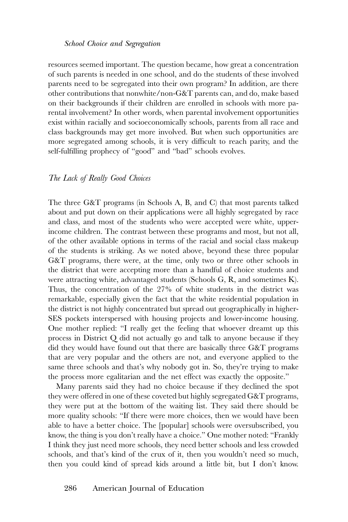resources seemed important. The question became, how great a concentration of such parents is needed in one school, and do the students of these involved parents need to be segregated into their own program? In addition, are there other contributions that nonwhite/non-G&T parents can, and do, make based on their backgrounds if their children are enrolled in schools with more parental involvement? In other words, when parental involvement opportunities exist within racially and socioeconomically schools, parents from all race and class backgrounds may get more involved. But when such opportunities are more segregated among schools, it is very difficult to reach parity, and the self-fulfilling prophecy of "good" and "bad" schools evolves.

# *The Lack of Really Good Choices*

The three G&T programs (in Schools A, B, and C) that most parents talked about and put down on their applications were all highly segregated by race and class, and most of the students who were accepted were white, upperincome children. The contrast between these programs and most, but not all, of the other available options in terms of the racial and social class makeup of the students is striking. As we noted above, beyond these three popular G&T programs, there were, at the time, only two or three other schools in the district that were accepting more than a handful of choice students and were attracting white, advantaged students (Schools G, R, and sometimes K). Thus, the concentration of the 27% of white students in the district was remarkable, especially given the fact that the white residential population in the district is not highly concentrated but spread out geographically in higher-SES pockets interspersed with housing projects and lower-income housing. One mother replied: "I really get the feeling that whoever dreamt up this process in District Q did not actually go and talk to anyone because if they did they would have found out that there are basically three G&T programs that are very popular and the others are not, and everyone applied to the same three schools and that's why nobody got in. So, they're trying to make the process more egalitarian and the net effect was exactly the opposite."

Many parents said they had no choice because if they declined the spot they were offered in one of these coveted but highly segregated G&T programs, they were put at the bottom of the waiting list. They said there should be more quality schools: "If there were more choices, then we would have been able to have a better choice. The [popular] schools were oversubscribed, you know, the thing is you don't really have a choice." One mother noted: "Frankly I think they just need more schools, they need better schools and less crowded schools, and that's kind of the crux of it, then you wouldn't need so much, then you could kind of spread kids around a little bit, but I don't know.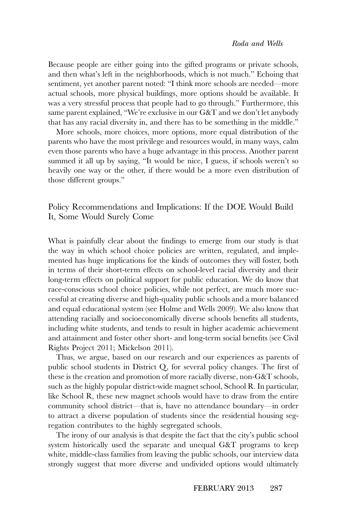Because people are either going into the gifted programs or private schools, and then what's left in the neighborhoods, which is not much." Echoing that sentiment, yet another parent noted: "I think more schools are needed—more actual schools, more physical buildings, more options should be available. It was a very stressful process that people had to go through." Furthermore, this same parent explained, "We're exclusive in our G&T and we don't let anybody that has any racial diversity in, and there has to be something in the middle."

More schools, more choices, more options, more equal distribution of the parents who have the most privilege and resources would, in many ways, calm even those parents who have a huge advantage in this process. Another parent summed it all up by saying, "It would be nice, I guess, if schools weren't so heavily one way or the other, if there would be a more even distribution of those different groups."

Policy Recommendations and Implications: If the DOE Would Build It, Some Would Surely Come

What is painfully clear about the findings to emerge from our study is that the way in which school choice policies are written, regulated, and implemented has huge implications for the kinds of outcomes they will foster, both in terms of their short-term effects on school-level racial diversity and their long-term effects on political support for public education. We do know that race-conscious school choice policies, while not perfect, are much more successful at creating diverse and high-quality public schools and a more balanced and equal educational system (see Holme and Wells 2009). We also know that attending racially and socioeconomically diverse schools benefits all students, including white students, and tends to result in higher academic achievement and attainment and foster other short- and long-term social benefits (see Civil Rights Project 2011; Mickelson 2011).

Thus, we argue, based on our research and our experiences as parents of public school students in District Q, for several policy changes. The first of these is the creation and promotion of more racially diverse, non-G&T schools, such as the highly popular district-wide magnet school, School R. In particular, like School R, these new magnet schools would have to draw from the entire community school district—that is, have no attendance boundary—in order to attract a diverse population of students since the residential housing segregation contributes to the highly segregated schools.

The irony of our analysis is that despite the fact that the city's public school system historically used the separate and unequal G&T programs to keep white, middle-class families from leaving the public schools, our interview data strongly suggest that more diverse and undivided options would ultimately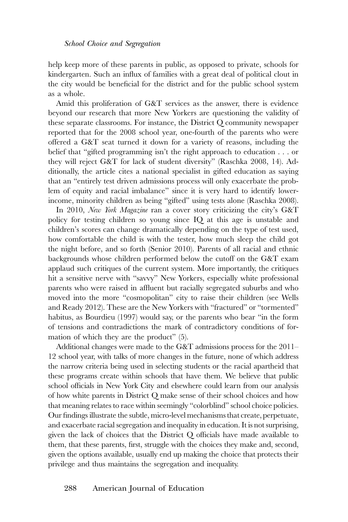help keep more of these parents in public, as opposed to private, schools for kindergarten. Such an influx of families with a great deal of political clout in the city would be beneficial for the district and for the public school system as a whole.

Amid this proliferation of G&T services as the answer, there is evidence beyond our research that more New Yorkers are questioning the validity of these separate classrooms. For instance, the District Q community newspaper reported that for the 2008 school year, one-fourth of the parents who were offered a G&T seat turned it down for a variety of reasons, including the belief that "gifted programming isn't the right approach to education . . . or they will reject G&T for lack of student diversity" (Raschka 2008, 14). Additionally, the article cites a national specialist in gifted education as saying that an "entirely test driven admissions process will only exacerbate the problem of equity and racial imbalance" since it is very hard to identify lowerincome, minority children as being "gifted" using tests alone (Raschka 2008).

In 2010, *New York Magazine* ran a cover story criticizing the city's G&T policy for testing children so young since IQ at this age is unstable and children's scores can change dramatically depending on the type of test used, how comfortable the child is with the tester, how much sleep the child got the night before, and so forth (Senior 2010). Parents of all racial and ethnic backgrounds whose children performed below the cutoff on the G&T exam applaud such critiques of the current system. More importantly, the critiques hit a sensitive nerve with "savvy" New Yorkers, especially white professional parents who were raised in affluent but racially segregated suburbs and who moved into the more "cosmopolitan" city to raise their children (see Wells and Ready 2012). These are the New Yorkers with "fractured" or "tormented" habitus, as Bourdieu (1997) would say, or the parents who bear "in the form of tensions and contradictions the mark of contradictory conditions of formation of which they are the product" (5).

Additional changes were made to the G&T admissions process for the 2011– 12 school year, with talks of more changes in the future, none of which address the narrow criteria being used in selecting students or the racial apartheid that these programs create within schools that have them. We believe that public school officials in New York City and elsewhere could learn from our analysis of how white parents in District Q make sense of their school choices and how that meaning relates to race within seemingly "colorblind" school choice policies. Our findings illustrate the subtle, micro-level mechanisms that create, perpetuate, and exacerbate racial segregation and inequality in education. It is not surprising, given the lack of choices that the District Q officials have made available to them, that these parents, first, struggle with the choices they make and, second, given the options available, usually end up making the choice that protects their privilege and thus maintains the segregation and inequality.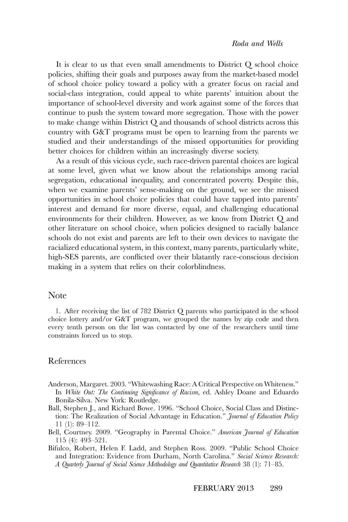It is clear to us that even small amendments to District Q school choice policies, shifting their goals and purposes away from the market-based model of school choice policy toward a policy with a greater focus on racial and social-class integration, could appeal to white parents' intuition about the importance of school-level diversity and work against some of the forces that continue to push the system toward more segregation. Those with the power to make change within District Q and thousands of school districts across this country with G&T programs must be open to learning from the parents we studied and their understandings of the missed opportunities for providing better choices for children within an increasingly diverse society.

As a result of this vicious cycle, such race-driven parental choices are logical at some level, given what we know about the relationships among racial segregation, educational inequality, and concentrated poverty. Despite this, when we examine parents' sense-making on the ground, we see the missed opportunities in school choice policies that could have tapped into parents' interest and demand for more diverse, equal, and challenging educational environments for their children. However, as we know from District Q and other literature on school choice, when policies designed to racially balance schools do not exist and parents are left to their own devices to navigate the racialized educational system, in this context, many parents, particularly white, high-SES parents, are conflicted over their blatantly race-conscious decision making in a system that relies on their colorblindness.

## Note

1. After receiving the list of 782 District Q parents who participated in the school choice lottery and/or G&T program, we grouped the names by zip code and then every tenth person on the list was contacted by one of the researchers until time constraints forced us to stop.

#### References

- Anderson, Margaret. 2003. "Whitewashing Race: A Critical Perspective on Whiteness." In *White Out: The Continuing Significance of Racism*, ed. Ashley Doane and Eduardo Bonila-Silva. New York: Routledge.
- Ball, Stephen J., and Richard Bowe. 1996. "School Choice, Social Class and Distinction: The Realization of Social Advantage in Education." *Journal of Education Policy* 11 (1): 89–112.
- Bell, Courtney. 2009. "Geography in Parental Choice." *American Journal of Education* 115 (4): 493–521.
- Bifulco, Robert, Helen F. Ladd, and Stephen Ross. 2009. "Public School Choice and Integration: Evidence from Durham, North Carolina." *Social Science Research: A Quarterly Journal of Social Science Methodology and Quantitative Research* 38 (1): 71–85.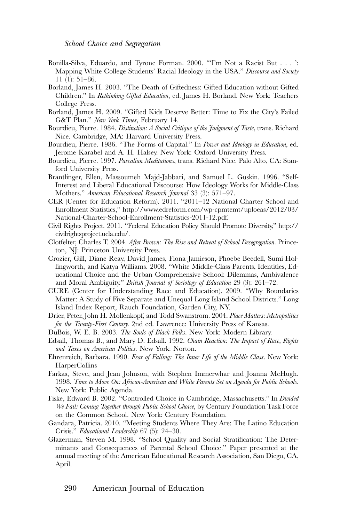- Bonilla-Silva, Eduardo, and Tyrone Forman. 2000. "'I'm Not a Racist But . . . ': Mapping White College Students' Racial Ideology in the USA." *Discourse and Society* 11 (1): 51–86.
- Borland, James H. 2003. "The Death of Giftedness: Gifted Education without Gifted Children." In *Rethinking Gifted Education*, ed. James H. Borland. New York: Teachers College Press.
- Borland, James H. 2009. "Gifted Kids Deserve Better: Time to Fix the City's Failed G&T Plan." *New York Times*, February 14.
- Bourdieu, Pierre. 1984. *Distinction: A Social Critique of the Judgment of Taste*, trans. Richard Nice. Cambridge, MA: Harvard University Press.
- Bourdieu, Pierre. 1986. "The Forms of Capital." In *Power and Ideology in Education*, ed. Jerome Karabel and A. H. Halsey. New York: Oxford University Press.
- Bourdieu, Pierre. 1997. *Pascalian Meditations*, trans. Richard Nice. Palo Alto, CA: Stanford University Press.
- Brantlinger, Ellen, Massoumeh Majd-Jabbari, and Samuel L. Guskin. 1996. "Self-Interest and Liberal Educational Discourse: How Ideology Works for Middle-Class Mothers." *American Educational Research Journal* 33 (3): 571–97.
- CER (Center for Education Reform). 2011. "2011–12 National Charter School and Enrollment Statistics," [http://www.edreform.com/wp-cpmtemt/uploeas/2012/03/](http://www.edreform.com/wp-cpmtemt/uploeas/2012/03/National-Charter-School-Enrollment-Statistics-2011-12.pdf) [National-Charter-School-Enrollment-Statistics-2011-12.pdf.](http://www.edreform.com/wp-cpmtemt/uploeas/2012/03/National-Charter-School-Enrollment-Statistics-2011-12.pdf)
- Civil Rights Project. 2011. "Federal Education Policy Should Promote Diversity," [http://](http://civilrightsproject.ucla.edu/) [civilrightsproject.ucla.edu/.](http://civilrightsproject.ucla.edu/)
- Clotfelter, Charles T. 2004. *After Brown: The Rise and Retreat of School Desegregation*. Princeton, NJ: Princeton University Press.
- Crozier, Gill, Diane Reay, David James, Fiona Jamieson, Phoebe Beedell, Sumi Hollingworth, and Katya Williams. 2008. "White Middle-Class Parents, Identities, Educational Choice and the Urban Comprehensive School: Dilemmas, Ambivalence and Moral Ambiguity." *British Journal of Sociology of Education* 29 (3): 261–72.
- CURE (Center for Understanding Race and Education). 2009. "Why Boundaries Matter: A Study of Five Separate and Unequal Long Island School Districts." Long Island Index Report, Rauch Foundation, Garden City, NY.
- Drier, Peter, John H. Mollenkopf, and Todd Swanstrom. 2004. *Place Matters: Metropolitics for the Twenty-First Century.* 2nd ed. Lawrence: University Press of Kansas.
- DuBois, W. E. B. 2003. *The Souls of Black Folks*. New York: Modern Library.
- Edsall, Thomas B., and Mary D. Edsall. 1992. *Chain Reaction: The Impact of Race, Rights and Taxes on American Politics.* New York: Norton.
- Ehrenreich, Barbara. 1990. *Fear of Falling: The Inner Life of the Middle Class*. New York: **HarperCollins**
- Farkas, Steve, and Jean Johnson, with Stephen Immerwhar and Joanna McHugh. 1998. *Time to Move On: African-American and White Parents Set an Agenda for Public Schools.* New York: Public Agenda.
- Fiske, Edward B. 2002. "Controlled Choice in Cambridge, Massachusetts." In *Divided We Fail: Coming Together through Public School Choice*, by Century Foundation Task Force on the Common School. New York: Century Foundation.
- Gandara, Patricia. 2010. "Meeting Students Where They Are: The Latino Education Crisis." *Educational Leadership* 67 (5): 24–30.
- Glazerman, Steven M. 1998. "School Quality and Social Stratification: The Determinants and Consequences of Parental School Choice." Paper presented at the annual meeting of the American Educational Research Association, San Diego, CA, April.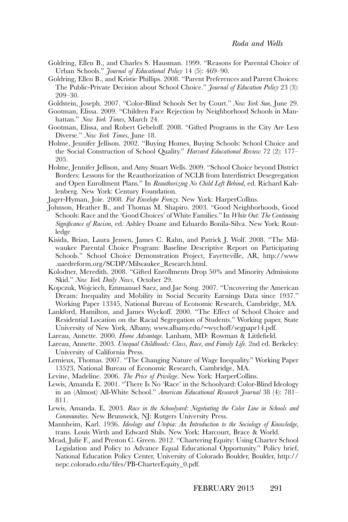- Goldring, Ellen B., and Charles S. Hausman. 1999. "Reasons for Parental Choice of Urban Schools." *Journal of Educational Policy* 14 (5): 469–90.
- Goldring, Ellen B., and Kristie Phillips. 2008. "Parent Preferences and Parent Choices: The Public-Private Decision about School Choice." *Journal of Education Policy* 23 (3): 209–30.

Goldstein, Joseph. 2007. "Color-Blind Schools Set by Court." *New York Sun*, June 29.

- Gootman, Elissa. 2009. "Children Face Rejection by Neighborhood Schools in Manhattan." *New York Times*, March 24.
- Gootman, Elissa, and Robert Gebeloff. 2008. "Gifted Programs in the City Are Less Diverse." *New York Times*, June 18.
- Holme, Jennifer Jellison. 2002. "Buying Homes, Buying Schools: School Choice and the Social Construction of School Quality." *Harvard Educational Review* 72 (2): 177– 205.
- Holme, Jennifer Jellison, and Amy Stuart Wells. 2009. "School Choice beyond District Borders: Lessons for the Reauthorization of NCLB from Interdistrict Desegregation and Open Enrollment Plans." In *Reauthorizing No Child Left Behind*, ed. Richard Kahlenberg. New York: Century Foundation.
- Jager-Hyman, Joie. 2008. *Fat Envelope Frenzy.* New York: HarperCollins.
- Johnson, Heather B., and Thomas M. Shapiro. 2003. "Good Neighborhoods, Good Schools: Race and the 'Good Choices' of White Families." In *White Out: The Continuing Significance of Racism*, ed. Ashley Doane and Eduardo Bonila-Silva. New York: Routledge
- Kisida, Brian, Laura Jensen, James C. Rahn, and Patrick J. Wolf. 2008. "The Milwaukee Parental Choice Program: Baseline Descriptive Report on Participating Schools." School Choice Demonstration Project, Fayetteville, AR, [http://www](http://www.uaedreform.org/SCDP/Milwaukee_Research.html) [.uaedreform.org/SCDP/Milwaukee\\_Research.html.](http://www.uaedreform.org/SCDP/Milwaukee_Research.html)
- Kolodner, Meredith. 2008. "Gifted Enrollments Drop 50% and Minority Admissions Skid." *New York Daily News*, October 29.
- Kopczuk, Wojciech, Emmanuel Saez, and Jae Song. 2007. "Uncovering the American Dream: Inequality and Mobility in Social Security Earnings Data since 1937." Working Paper 13345, National Bureau of Economic Research, Cambridge, MA.
- Lankford, Hamilton, and James Wyckoff. 2000. "The Effect of School Choice and Residential Location on the Racial Segregation of Students." Working paper, State University of New York, Albany, www.albany.edu/∼[wychoff/segpapr14.pdf.](http://www.albany.edu/wychoff/segpapr14.pdf)
- Lareau, Annette. 2000. *Home Advantage*. Lanham, MD: Rowman & Littlefield.
- Lareau, Annette. 2003. *Unequal Childhoods: Class, Race, and Family Life*. 2nd ed. Berkeley: University of California Press.
- Lemieux, Thomas. 2007. "The Changing Nature of Wage Inequality." Working Paper 13523, National Bureau of Economic Research, Cambridge, MA.
- Levine, Madeline. 2006. *The Price of Privilege*. New York: HarperCollins.
- Lewis, Amanda E. 2001. "There Is No 'Race' in the Schoolyard: Color-Blind Ideology in an (Almost) All-White School." *American Educational Research Journal* 38 (4): 781– 811.
- Lewis, Amanda. E. 2003. *Race in the Schoolyard: Negotiating the Color Line in Schools and Communities*. New Brunswick, NJ: Rutgers University Press.
- Mannheim, Karl. 1936. *Ideology and Utopia: An Introduction to the Sociology of Knowledge*, trans. Louis Wirth and Edward Shils. New York: Harcourt, Brace & World.
- Mead, Julie F., and Preston C. Green. 2012. "Chartering Equity: Using Charter School Legislation and Policy to Advance Equal Educational Opportunity." Policy brief, National Education Policy Center, University of Colorado Boulder, Boulder, [http://](http://nepc.colorado.edu/files/PB-CharterEquity_0.pdf) [nepc.colorado.edu/files/PB-CharterEquity\\_0.pdf.](http://nepc.colorado.edu/files/PB-CharterEquity_0.pdf)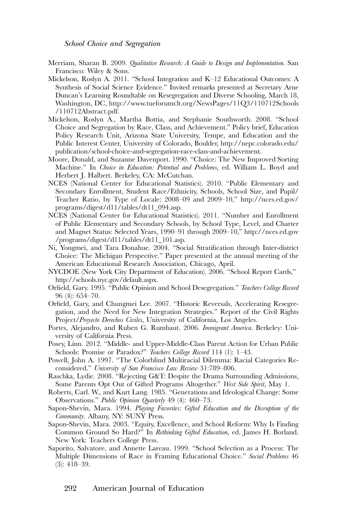- Merriam, Sharan B. 2009. *Qualitative Research: A Guide to Design and Implementation*. San Francisco: Wiley & Sons.
- Mickelson, Roslyn A. 2011. "School Integration and K–12 Educational Outcomes: A Synthesis of Social Science Evidence." Invited remarks presented at Secretary Arne Duncan's Learning Roundtable on Resegregation and Diverse Schooling, March 18, Washington, DC, [http://www.tueforumclt.org/NewsPages/11Q3/110712Schools](http://www.tueforumclt.org/NewsPages/11Q3/110712Schools/110712Abstract.pdf) [/110712Abstract.pdf.](http://www.tueforumclt.org/NewsPages/11Q3/110712Schools/110712Abstract.pdf)
- Mickelson, Roslyn A., Martha Bottia, and Stephanie Southworth. 2008. "School Choice and Segregation by Race, Class, and Achievement." Policy brief, Education Policy Research Unit, Arizona State University, Tempe, and Education and the Public Interest Center, University of Colorado, Boulder, [http://nepc.colorado.edu/](http://nepc.colorado.edu/publication/school-choice-and-segregation-race-class-and-achievement) [publication/school-choice-and-segregation-race-class-and-achievement.](http://nepc.colorado.edu/publication/school-choice-and-segregation-race-class-and-achievement)
- Moore, Donald, and Suzanne Davenport. 1990. "Choice: The New Improved Sorting Machine." In *Choice in Education: Potential and Problems*, ed. William L. Boyd and Herbert J. Halbert. Berkeley, CA: McCutchan.
- NCES (National Center for Educational Statistics). 2010. "Public Elementary and Secondary Enrollment, Student Race/Ethnicity, Schools, School Size, and Pupil/ Teacher Ratio, by Type of Locale: 2008–09 and 2009–10," [http://nces.ed.gov/](http://nces.ed.gov/programs/digest/d11/tables/dt11_094.asp) [programs/digest/d11/tables/dt11\\_094.asp.](http://nces.ed.gov/programs/digest/d11/tables/dt11_094.asp)
- NCES (National Center for Educational Statistics). 2011. "Number and Enrollment of Public Elementary and Secondary Schools, by School Type, Level, and Charter and Magnet Status: Selected Years, 1990–91 through 2009–10," [http://nces.ed.gov](http://nces.ed.gov/programs/digest/d11/tables/dt11_101.asp) [/programs/digest/d11/tables/dt11\\_101.asp.](http://nces.ed.gov/programs/digest/d11/tables/dt11_101.asp)
- Ni, Yongmei, and Tara Donahue. 2004. "Social Stratification through Inter-district Choice: The Michigan Perspective." Paper presented at the annual meeting of the American Educational Research Association, Chicago, April.
- NYCDOE (New York City Department of Education). 2006. "School Report Cards," [http://schools.nyc.gov/default.aspx.](http://schools.nyc.gov/default.aspx)
- Orfield, Gary. 1995. "Public Opinion and School Desegregation." *Teachers College Record* 96 (4): 654–70.
- Orfield, Gary, and Chungmei Lee. 2007. "Historic Reversals, Accelerating Resegregation, and the Need for New Integration Strategies." Report of the Civil Rights Project/*Proyecto Derechos Civiles*, University of California, Los Angeles.
- Portes, Alejandro, and Ruben G. Rumbaut. 2006. *Immigrant America*. Berkeley: University of California Press.
- Posey, Linn. 2012. "Middle- and Upper-Middle-Class Parent Action for Urban Public Schools: Promise or Paradox?" *Teachers College Record* 114 (1): 1–43.
- Powell, John A. 1997. "The Colorblind Multiracial Dilemma: Racial Categories Reconsidered." *University of San Francisco Law Review* 31:789–806.
- Raschka, Lydie. 2008. "Rejecting G&T: Despite the Drama Surrounding Admissions, Some Parents Opt Out of Gifted Programs Altogether." *West Side Spirit*, May 1.
- Roberts, Carl. W., and Kurt Lang. 1985. "Generations and Ideological Change: Some Observations." *Public Opinion Quarterly* 49 (4): 460–73.
- Sapon-Shevin, Mara. 1994. *Playing Favorites: Gifted Education and the Disruption of the Community*. Albany, NY: SUNY Press.
- Sapon-Shevin, Mara. 2003. "Equity, Excellence, and School Reform: Why Is Finding Common Ground So Hard?" In *Rethinking Gifted Education*, ed. James H. Borland. New York: Teachers College Press.
- Saporito, Salvatore, and Annette Lareau. 1999. "School Selection as a Process: The Multiple Dimensions of Race in Framing Educational Choice." *Social Problems* 46 (3): 418–39.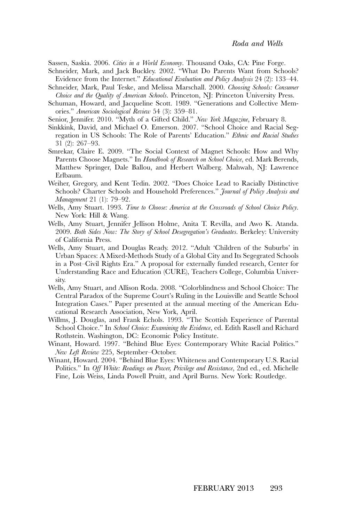Sassen, Saskia. 2006. *Cities in a World Economy*. Thousand Oaks, CA: Pine Forge.

- Schneider, Mark, and Jack Buckley. 2002. "What Do Parents Want from Schools? Evidence from the Internet." *Educational Evaluation and Policy Analysis* 24 (2): 133–44.
- Schneider, Mark, Paul Teske, and Melissa Marschall. 2000. *Choosing Schools: Consumer Choice and the Quality of American Schools*. Princeton, NJ: Princeton University Press.
- Schuman, Howard, and Jacqueline Scott. 1989. "Generations and Collective Memories." *American Sociological Review* 54 (3): 359–81.
- Senior, Jennifer. 2010. "Myth of a Gifted Child." *New York Magazine*, February 8.
- Sinkkink, David, and Michael O. Emerson. 2007. "School Choice and Racial Segregation in US Schools: The Role of Parents' Education." *Ethnic and Racial Studies* 31 (2): 267–93.
- Smrekar, Claire E. 2009. "The Social Context of Magnet Schools: How and Why Parents Choose Magnets." In *Handbook of Research on School Choice*, ed. Mark Berends, Matthew Springer, Dale Ballou, and Herbert Walberg. Mahwah, NJ: Lawrence Erlbaum.
- Weiher, Gregory, and Kent Tedin. 2002. "Does Choice Lead to Racially Distinctive Schools? Charter Schools and Household Preferences." *Journal of Policy Analysis and Management* 21 (1): 79–92.
- Wells, Amy Stuart. 1993. *Time to Choose: America at the Crossroads of School Choice Policy*. New York: Hill & Wang.
- Wells, Amy Stuart, Jennifer Jellison Holme, Anita T. Revilla, and Awo K. Atanda. 2009. *Both Sides Now: The Story of School Desegregation's Graduates.* Berkeley: University of California Press.
- Wells, Amy Stuart, and Douglas Ready. 2012. "Adult 'Children of the Suburbs' in Urban Spaces: A Mixed-Methods Study of a Global City and Its Segegrated Schools in a Post–Civil Rights Era." A proposal for externally funded research, Center for Understanding Race and Education (CURE), Teachers College, Columbia University.
- Wells, Amy Stuart, and Allison Roda. 2008. "Colorblindness and School Choice: The Central Paradox of the Supreme Court's Ruling in the Louisville and Seattle School Integration Cases." Paper presented at the annual meeting of the American Educational Research Association, New York, April.
- Willms, J. Douglas, and Frank Echols. 1993. "The Scottish Experience of Parental School Choice." In *School Choice: Examining the Evidence*, ed. Edith Rasell and Richard Rothstein. Washington, DC: Economic Policy Institute.
- Winant, Howard. 1997. "Behind Blue Eyes: Contemporary White Racial Politics." *New Left Review* 225, September–October.
- Winant, Howard. 2004. "Behind Blue Eyes: Whiteness and Contemporary U.S. Racial Politics." In *Off White: Readings on Power, Privilege and Resistance*, 2nd ed., ed. Michelle Fine, Lois Weiss, Linda Powell Pruitt, and April Burns. New York: Routledge.